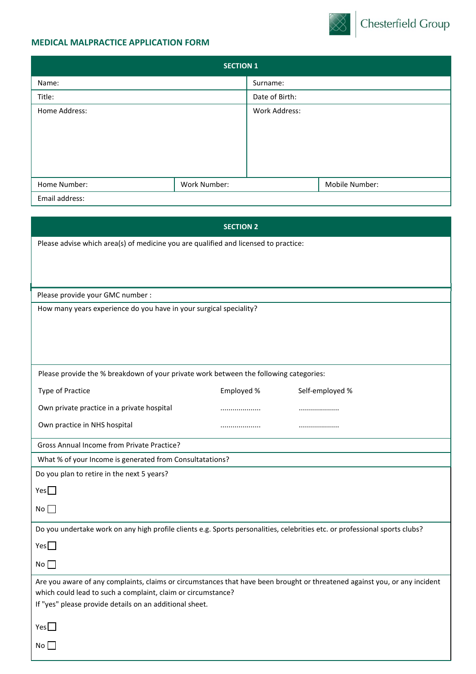## **MEDICAL MALPRACTICE APPLICATION FORM**



|                | <b>SECTION 1</b> |                |                |
|----------------|------------------|----------------|----------------|
| Name:          |                  | Surname:       |                |
| Title:         |                  | Date of Birth: |                |
| Home Address:  |                  | Work Address:  |                |
|                |                  |                |                |
|                |                  |                |                |
|                |                  |                |                |
|                |                  |                |                |
| Home Number:   | Work Number:     |                | Mobile Number: |
| Email address: |                  |                |                |

|                                                                                                                             | <b>SECTION 2</b> |                 |
|-----------------------------------------------------------------------------------------------------------------------------|------------------|-----------------|
| Please advise which area(s) of medicine you are qualified and licensed to practice:                                         |                  |                 |
|                                                                                                                             |                  |                 |
|                                                                                                                             |                  |                 |
| Please provide your GMC number :                                                                                            |                  |                 |
| How many years experience do you have in your surgical speciality?                                                          |                  |                 |
|                                                                                                                             |                  |                 |
|                                                                                                                             |                  |                 |
|                                                                                                                             |                  |                 |
| Please provide the % breakdown of your private work between the following categories:                                       |                  |                 |
| <b>Type of Practice</b>                                                                                                     | Employed %       | Self-employed % |
| Own private practice in a private hospital                                                                                  | .                |                 |
| Own practice in NHS hospital                                                                                                |                  |                 |
| <b>Gross Annual Income from Private Practice?</b>                                                                           |                  |                 |
| What % of your Income is generated from Consultatations?                                                                    |                  |                 |
| Do you plan to retire in the next 5 years?                                                                                  |                  |                 |
| Yes $\Box$                                                                                                                  |                  |                 |
| No                                                                                                                          |                  |                 |
| Do you undertake work on any high profile clients e.g. Sports personalities, celebrities etc. or professional sports clubs? |                  |                 |
| Yes                                                                                                                         |                  |                 |
| No                                                                                                                          |                  |                 |
| Are you aware of any complaints, claims or circumstances that have been brought or threatened against you, or any incident  |                  |                 |
| which could lead to such a complaint, claim or circumstance?<br>If "yes" please provide details on an additional sheet.     |                  |                 |
|                                                                                                                             |                  |                 |
| Yes                                                                                                                         |                  |                 |
| No                                                                                                                          |                  |                 |